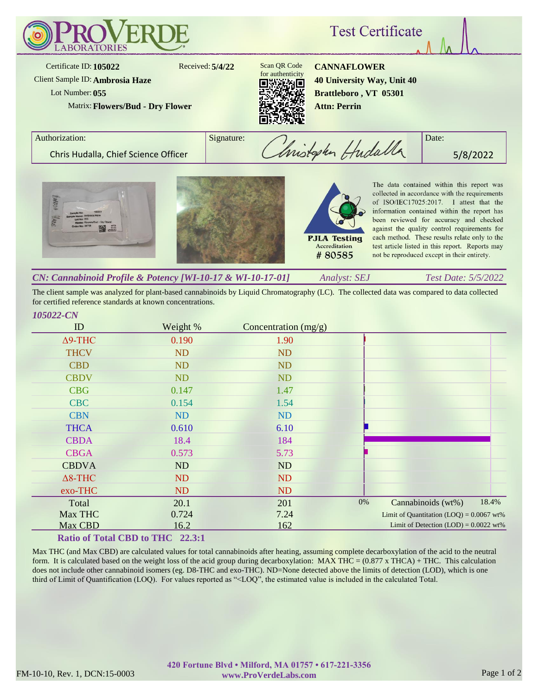

The client sample was analyzed for plant-based cannabinoids by Liquid Chromatography (LC). The collected data was compared to data collected for certified reference standards at known concentrations.

| ID             | Weight %  | Concentration (mg/g) |    |                                            |       |
|----------------|-----------|----------------------|----|--------------------------------------------|-------|
| $\Delta$ 9-THC | 0.190     | 1.90                 |    |                                            |       |
| <b>THCV</b>    | <b>ND</b> | <b>ND</b>            |    |                                            |       |
| <b>CBD</b>     | <b>ND</b> | <b>ND</b>            |    |                                            |       |
| <b>CBDV</b>    | <b>ND</b> | <b>ND</b>            |    |                                            |       |
| <b>CBG</b>     | 0.147     | 1.47                 |    |                                            |       |
| <b>CBC</b>     | 0.154     | 1.54                 |    |                                            |       |
| <b>CBN</b>     | ND        | <b>ND</b>            |    |                                            |       |
| <b>THCA</b>    | 0.610     | 6.10                 |    |                                            |       |
| <b>CBDA</b>    | 18.4      | 184                  |    |                                            |       |
| <b>CBGA</b>    | 0.573     | 5.73                 |    |                                            |       |
| <b>CBDVA</b>   | ND        | ND                   |    |                                            |       |
| $\Delta$ 8-THC | <b>ND</b> | <b>ND</b>            |    |                                            |       |
| exo-THC        | <b>ND</b> | <b>ND</b>            |    |                                            |       |
| Total          | 20.1      | 201                  | 0% | Cannabinoids (wt%)                         | 18.4% |
| Max THC        | 0.724     | 7.24                 |    | Limit of Quantitation $(LOQ) = 0.0067$ wt% |       |
| Max CBD        | 16.2      | 162                  |    | Limit of Detection $(LOD) = 0.0022$ wt%    |       |

## **Ratio of Total CBD to THC 22.3:1**

Max THC (and Max CBD) are calculated values for total cannabinoids after heating, assuming complete decarboxylation of the acid to the neutral form. It is calculated based on the weight loss of the acid group during decarboxylation: MAX THC =  $(0.877 \times THCA) + THC$ . This calculation does not include other cannabinoid isomers (eg. D8-THC and exo-THC). ND=None detected above the limits of detection (LOD), which is one third of Limit of Quantification (LOQ). For values reported as "<LOQ", the estimated value is included in the calculated Total.

*105022-CN*